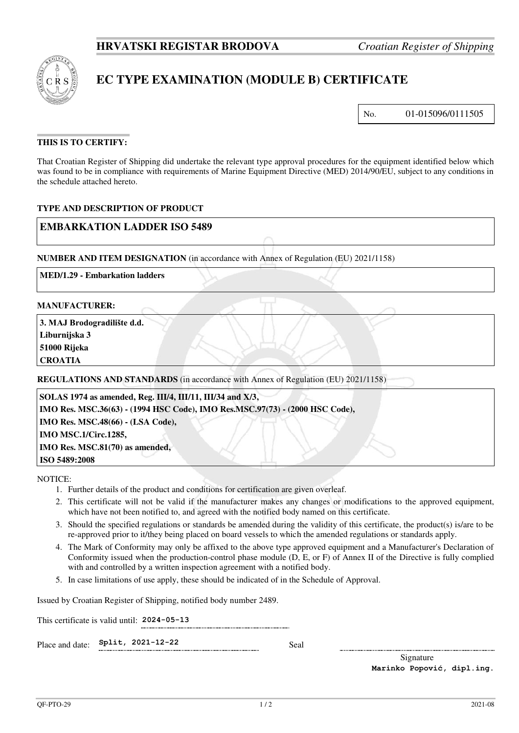

# **EC TYPE EXAMINATION (MODULE B) CERTIFICATE**

No. 01-015096/0111505

# **THIS IS TO CERTIFY:**

That Croatian Register of Shipping did undertake the relevant type approval procedures for the equipment identified below which was found to be in compliance with requirements of Marine Equipment Directive (MED) 2014/90/EU, subject to any conditions in the schedule attached hereto.

## **TYPE AND DESCRIPTION OF PRODUCT**

# **EMBARKATION LADDER ISO 5489**

**NUMBER AND ITEM DESIGNATION** (in accordance with Annex of Regulation (EU) 2021/1158)

**MED/1.29 - Embarkation ladders**

### **MANUFACTURER:**

**3. MAJ Brodogradilište d.d. Liburnijska 3 51000 Rijeka** 

**CROATIA**

**REGULATIONS AND STANDARDS** (in accordance with Annex of Regulation (EU) 2021/1158)

 **SOLAS 1974 as amended, Reg. III/4, III/11, III/34 and X/3, IMO Res. MSC.36(63) - (1994 HSC Code), IMO Res.MSC.97(73) - (2000 HSC Code), IMO Res. MSC.48(66) - (LSA Code),** 

 **IMO MSC.1/Circ.1285,** 

 **IMO Res. MSC.81(70) as amended,** 

NOTICE:

**ISO 5489:2008**

- 1. Further details of the product and conditions for certification are given overleaf.
- 2. This certificate will not be valid if the manufacturer makes any changes or modifications to the approved equipment, which have not been notified to, and agreed with the notified body named on this certificate.
- 3. Should the specified regulations or standards be amended during the validity of this certificate, the product(s) is/are to be re-approved prior to it/they being placed on board vessels to which the amended regulations or standards apply.
- 4. The Mark of Conformity may only be affixed to the above type approved equipment and a Manufacturer's Declaration of Conformity issued when the production-control phase module (D, E, or F) of Annex II of the Directive is fully complied with and controlled by a written inspection agreement with a notified body.
- 5. In case limitations of use apply, these should be indicated of in the Schedule of Approval.

Issued by Croatian Register of Shipping, notified body number 2489.

This certificate is valid until: **2024-05-13** 

Place and date: **Split, 2021-12-22** Seal

Signature **Marinko Popović, dipl.ing.**